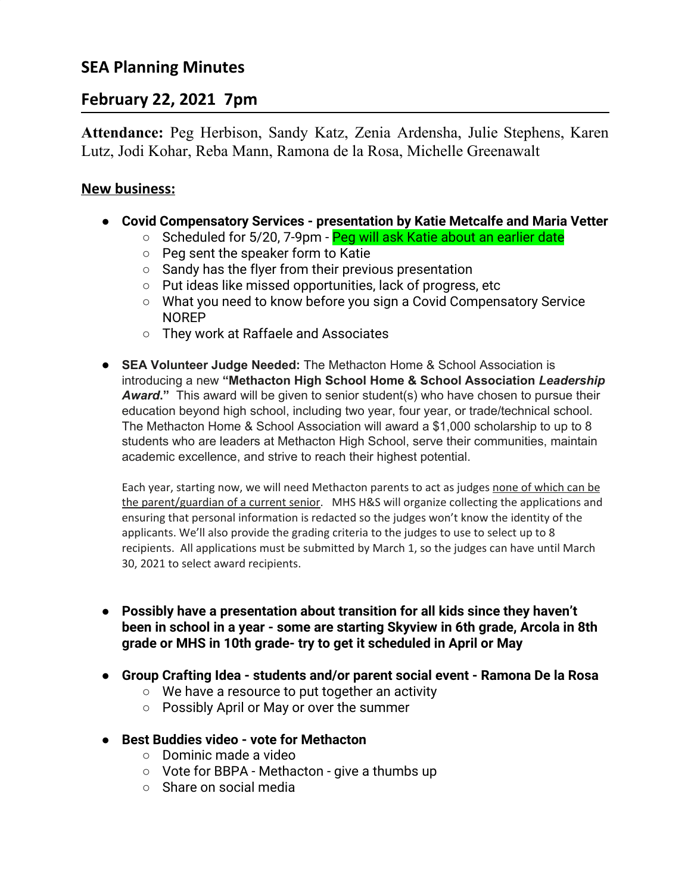# **SEA Planning Minutes**

# **February 22, 2021 7pm**

**Attendance:** Peg Herbison, Sandy Katz, Zenia Ardensha, Julie Stephens, Karen Lutz, Jodi Kohar, Reba Mann, Ramona de la Rosa, Michelle Greenawalt

### **New business:**

- **● Covid Compensatory Services presentation by Katie Metcalfe and Maria Vetter**
	- Scheduled for 5/20, 7-9pm Peg will ask Katie about an earlier date
		- Peg sent the speaker form to Katie
		- Sandy has the flyer from their previous presentation
		- Put ideas like missed opportunities, lack of progress, etc
		- What you need to know before you sign a Covid Compensatory Service NOREP
		- They work at Raffaele and Associates
- **SEA Volunteer Judge Needed:** The Methacton Home & School Association is introducing a new **"Methacton High School Home & School Association** *Leadership Award***."** This award will be given to senior student(s) who have chosen to pursue their education beyond high school, including two year, four year, or trade/technical school. The Methacton Home & School Association will award a \$1,000 scholarship to up to 8 students who are leaders at Methacton High School, serve their communities, maintain academic excellence, and strive to reach their highest potential.

Each year, starting now, we will need Methacton parents to act as judges none of which can be the parent/guardian of a current senior. MHS H&S will organize collecting the applications and ensuring that personal information is redacted so the judges won't know the identity of the applicants. We'll also provide the grading criteria to the judges to use to select up to 8 recipients. All applications must be submitted by March 1, so the judges can have until March 30, 2021 to select award recipients.

- **● Possibly have a presentation about transition for all kids since they haven't been in school in a year - some are starting Skyview in 6th grade, Arcola in 8th grade or MHS in 10th grade- try to get it scheduled in April or May**
- **● Group Crafting Idea students and/or parent social event Ramona De la Rosa**
	- We have a resource to put together an activity
	- Possibly April or May or over the summer
- **● Best Buddies video vote for Methacton**
	- Dominic made a video
	- Vote for BBPA Methacton give a thumbs up
	- Share on social media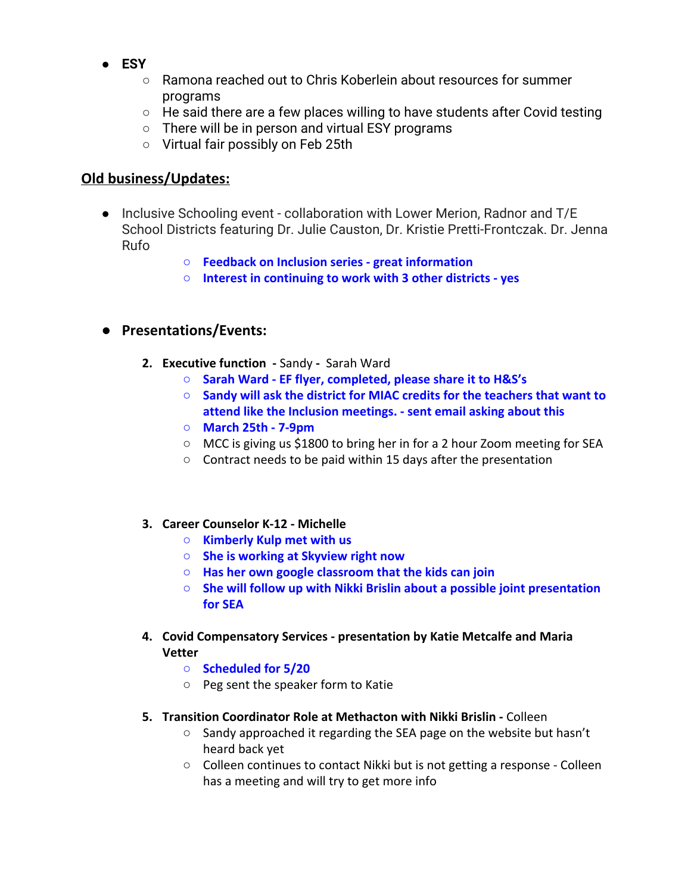- **● ESY**
	- Ramona reached out to Chris Koberlein about resources for summer programs
	- He said there are a few places willing to have students after Covid testing
	- There will be in person and virtual ESY programs
	- Virtual fair possibly on Feb 25th

# **Old business/Updates:**

- **●** Inclusive Schooling event collaboration with Lower Merion, Radnor and T/E School Districts featuring Dr. Julie Causton, Dr. Kristie Pretti-Frontczak. Dr. Jenna Rufo
	- **Feedback on Inclusion series great information**
	- **Interest in continuing to work with 3 other districts yes**

# **● Presentations/Events:**

- **2. Executive function -** SandySarah Ward
	- **Sarah Ward EF flyer, completed, please share it to H&S's**
	- **Sandy will ask the district for MIAC credits for the teachers that want to attend like the Inclusion meetings. - sent email asking about this**
	- **○ March 25th 7-9pm**
	- MCC is giving us \$1800 to bring her in for a 2 hour Zoom meeting for SEA
	- Contract needs to be paid within 15 days after the presentation

#### **3. Career Counselor K-12 - Michelle**

- **○ Kimberly Kulp met with us**
- **○ She is working at Skyview right now**
- **○ Has her own google classroom that the kids can join**
- **○ She will follow up with Nikki Brislin about a possible joint presentation for SEA**
- **4. Covid Compensatory Services presentation by Katie Metcalfe and Maria Vetter**
	- **○ Scheduled for 5/20**
	- Peg sent the speaker form to Katie
- **5. Transition Coordinator Role at Methacton with Nikki Brislin** Colleen
	- Sandy approached it regarding the SEA page on the website but hasn't heard back yet
	- Colleen continues to contact Nikki but is not getting a response Colleen has a meeting and will try to get more info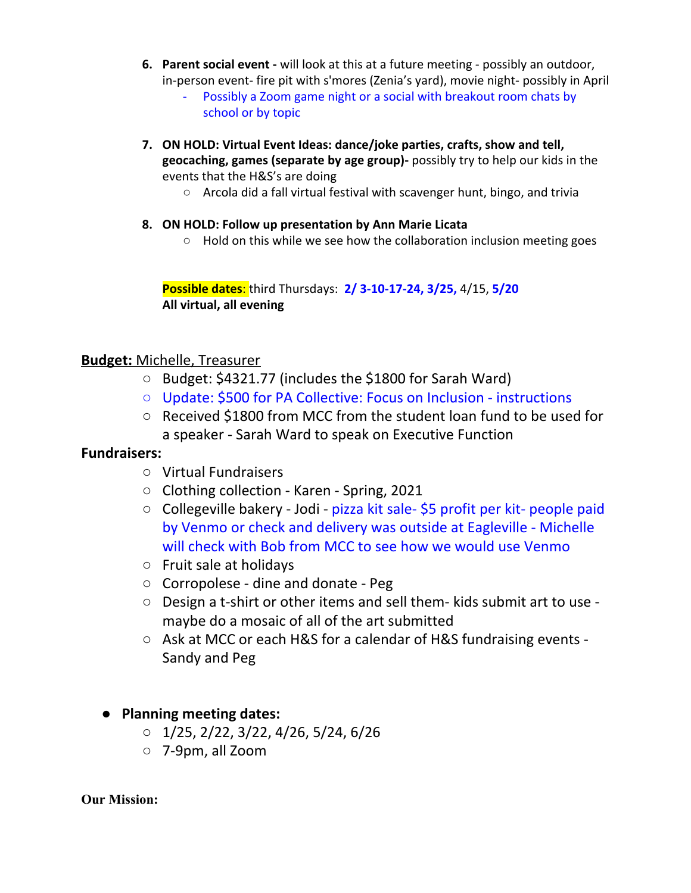- **6. Parent social event -** will look at this at a future meeting possibly an outdoor, in-person event- fire pit with s'mores (Zenia's yard), movie night- possibly in April
	- Possibly a Zoom game night or a social with breakout room chats by school or by topic
- **7. ON HOLD: Virtual Event Ideas: dance/joke parties, crafts, show and tell, geocaching, games (separate by age group)-** possibly try to help our kids in the events that the H&S's are doing
	- Arcola did a fall virtual festival with scavenger hunt, bingo, and trivia
- **8. ON HOLD: Follow up presentation by Ann Marie Licata**
	- Hold on this while we see how the collaboration inclusion meeting goes

**Possible dates**: third Thursdays: **2/ 3-10-17-24, 3/25,** 4/15, **5/20 All virtual, all evening**

#### **Budget:** Michelle, Treasurer

- Budget: \$4321.77 (includes the \$1800 for Sarah Ward)
- Update: \$500 for PA Collective: Focus on Inclusion instructions
- Received \$1800 from MCC from the student loan fund to be used for a speaker - Sarah Ward to speak on Executive Function

### **Fundraisers:**

- Virtual Fundraisers
- Clothing collection Karen Spring, 2021
- Collegeville bakery Jodi pizza kit sale- \$5 profit per kit- people paid by Venmo or check and delivery was outside at Eagleville - Michelle will check with Bob from MCC to see how we would use Venmo
- Fruit sale at holidays
- Corropolese dine and donate Peg
- Design a t-shirt or other items and sell them- kids submit art to use maybe do a mosaic of all of the art submitted
- Ask at MCC or each H&S for a calendar of H&S fundraising events Sandy and Peg

### **● Planning meeting dates:**

- $0\quad 1/25, 2/22, 3/22, 4/26, 5/24, 6/26$
- 7-9pm, all Zoom

#### **Our Mission:**